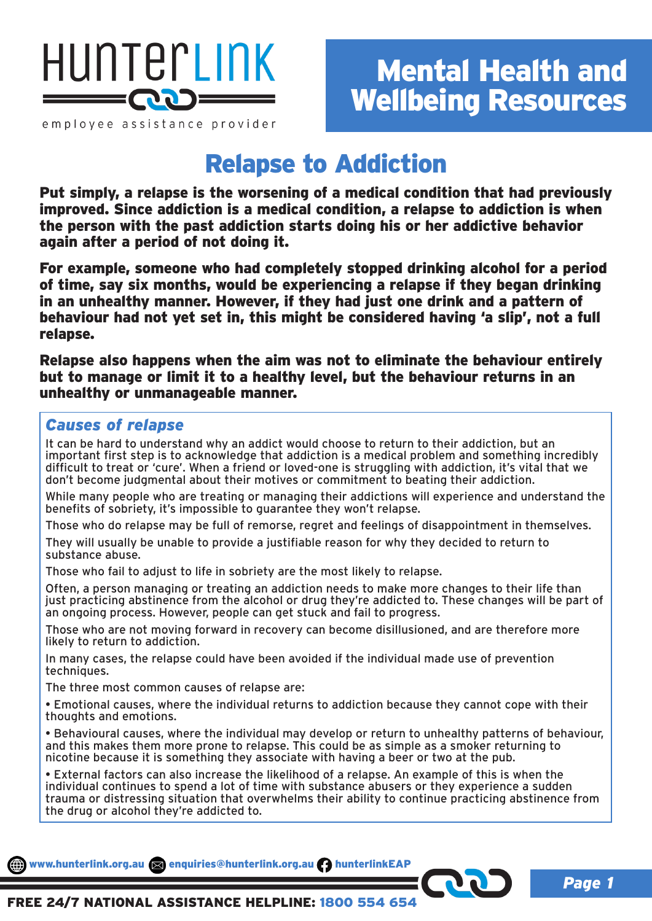

employee assistance provider

## Relapse to Addiction

Put simply, a relapse is the worsening of a medical condition that had previously improved. Since addiction is a medical condition, a relapse to addiction is when the person with the past addiction starts doing his or her addictive behavior again after a period of not doing it.

For example, someone who had completely stopped drinking alcohol for a period of time, say six months, would be experiencing a relapse if they began drinking in an unhealthy manner. However, if they had just one drink and a pattern of behaviour had not yet set in, this might be considered having 'a slip', not a full relapse.

Relapse also happens when the aim was not to eliminate the behaviour entirely but to manage or limit it to a healthy level, but the behaviour returns in an unhealthy or unmanageable manner.

## *Causes of relapse*

It can be hard to understand why an addict would choose to return to their addiction, but an important first step is to acknowledge that addiction is a medical problem and something incredibly difficult to treat or 'cure'. When a friend or loved-one is struggling with addiction, it's vital that we don't become judgmental about their motives or commitment to beating their addiction.

While many people who are treating or managing their addictions will experience and understand the benefits of sobriety, it's impossible to guarantee they won't relapse.

Those who do relapse may be full of remorse, regret and feelings of disappointment in themselves.

They will usually be unable to provide a justifiable reason for why they decided to return to substance abuse.

Those who fail to adjust to life in sobriety are the most likely to relapse.

Often, a person managing or treating an addiction needs to make more changes to their life than just practicing abstinence from the alcohol or drug they're addicted to. These changes will be part of an ongoing process. However, people can get stuck and fail to progress.

Those who are not moving forward in recovery can become disillusioned, and are therefore more likely to return to addiction.

In many cases, the relapse could have been avoided if the individual made use of prevention techniques.

The three most common causes of relapse are:

• Emotional causes, where the individual returns to addiction because they cannot cope with their thoughts and emotions.

• Behavioural causes, where the individual may develop or return to unhealthy patterns of behaviour, and this makes them more prone to relapse. This could be as simple as a smoker returning to nicotine because it is something they associate with having a beer or two at the pub.

• External factors can also increase the likelihood of a relapse. An example of this is when the individual continues to spend a lot of time with substance abusers or they experience a sudden trauma or distressing situation that overwhelms their ability to continue practicing abstinence from the drug or alcohol they're addicted to.

www.hunterlink.org.au anquiries@hunterlink.org.au hunterlinkEAP

*Page 1*

FREE 24/7 NATIONAL ASSISTANCE HELPLINE: 1800 554 654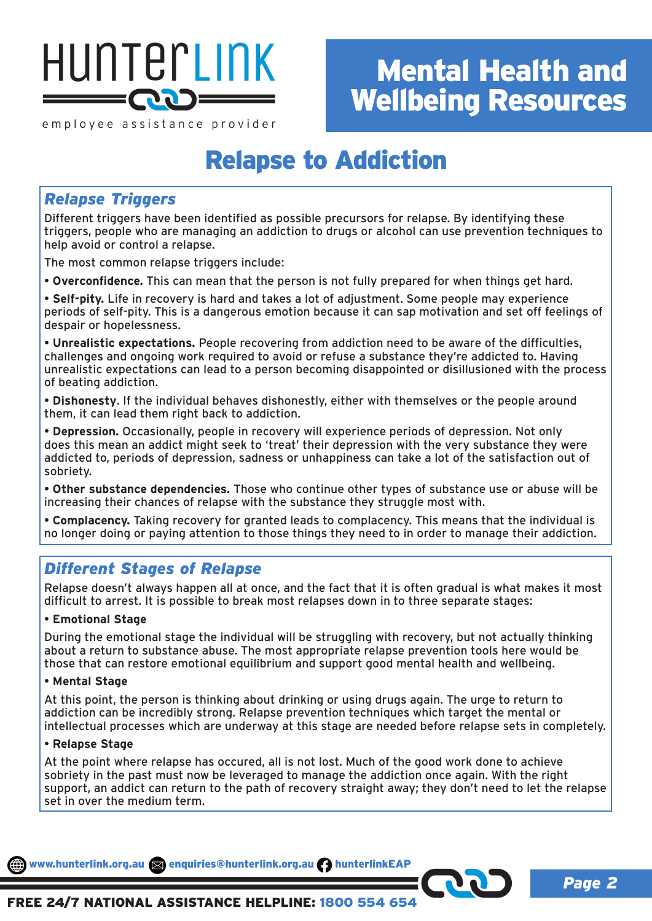

# Mental Health and Wellbeing Resources

*Page 2*

employee assistance provider

## Relapse to Addiction

## *Relapse Triggers*

Different triggers have been identified as possible precursors for relapse. By identifying these triggers, people who are managing an addiction to drugs or alcohol can use prevention techniques to help avoid or control a relapse.

The most common relapse triggers include:

• **Overconfidence.** This can mean that the person is not fully prepared for when things get hard.

• **Self-pity.** Life in recovery is hard and takes a lot of adjustment. Some people may experience periods of self-pity. This is a dangerous emotion because it can sap motivation and set off feelings of despair or hopelessness.

• **Unrealistic expectations.** People recovering from addiction need to be aware of the difficulties, challenges and ongoing work required to avoid or refuse a substance they're addicted to. Having unrealistic expectations can lead to a person becoming disappointed or disillusioned with the process of beating addiction.

• **Dishonesty**. If the individual behaves dishonestly, either with themselves or the people around them, it can lead them right back to addiction.

• **Depression.** Occasionally, people in recovery will experience periods of depression. Not only does this mean an addict might seek to 'treat' their depression with the very substance they were addicted to, periods of depression, sadness or unhappiness can take a lot of the satisfaction out of sobriety.

• **Other substance dependencies.** Those who continue other types of substance use or abuse will be increasing their chances of relapse with the substance they struggle most with.

• **Complacency.** Taking recovery for granted leads to complacency. This means that the individual is no longer doing or paying attention to those things they need to in order to manage their addiction.

## *Different Stages of Relapse*

Relapse doesn't always happen all at once, and the fact that it is often gradual is what makes it most difficult to arrest. It is possible to break most relapses down in to three separate stages:

## • **Emotional Stage**

During the emotional stage the individual will be struggling with recovery, but not actually thinking about a return to substance abuse. The most appropriate relapse prevention tools here would be those that can restore emotional equilibrium and support good mental health and wellbeing.

## • **Mental Stage**

At this point, the person is thinking about drinking or using drugs again. The urge to return to addiction can be incredibly strong. Relapse prevention techniques which target the mental or intellectual processes which are underway at this stage are needed before relapse sets in completely.

### • **Relapse Stage**

At the point where relapse has occured, all is not lost. Much of the good work done to achieve sobriety in the past must now be leveraged to manage the addiction once again. With the right support, an addict can return to the path of recovery straight away; they don't need to let the relapse set in over the medium term.

www.hunterlink.org.au anquiries@hunterlink.org.au hunterlinkEAP

## FREE 24/7 NATIONAL ASSISTANCE HELPLINE: 1800 554 654